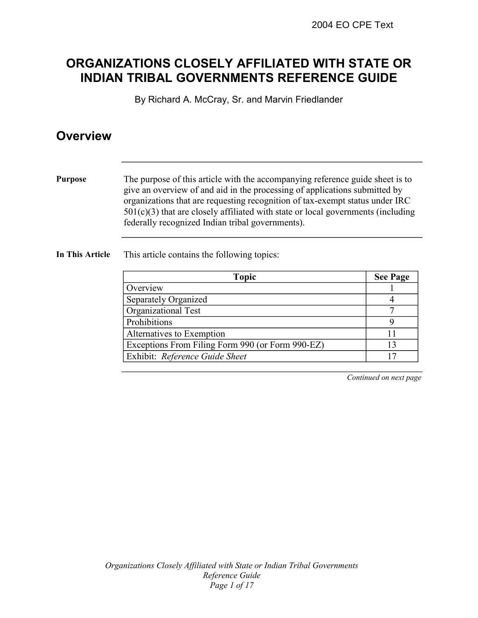## **ORGANIZATIONS CLOSELY AFFILIATED WITH STATE OR INDIAN TRIBAL GOVERNMENTS REFERENCE GUIDE**

By Richard A. McCray, Sr. and Marvin Friedlander

### **Overview**

**Purpose** The purpose of this article with the accompanying reference guide sheet is to give an overview of and aid in the processing of applications submitted by organizations that are requesting recognition of tax-exempt status under IRC  $501(c)(3)$  that are closely affiliated with state or local governments (including federally recognized Indian tribal governments).

#### **In This Article** This article contains the following topics:

| <b>Topic</b>                                     | <b>See Page</b> |
|--------------------------------------------------|-----------------|
| Overview                                         |                 |
| Separately Organized                             |                 |
| Organizational Test                              |                 |
| Prohibitions                                     |                 |
| Alternatives to Exemption                        |                 |
| Exceptions From Filing Form 990 (or Form 990-EZ) | 13              |
| Exhibit: Reference Guide Sheet                   | 17              |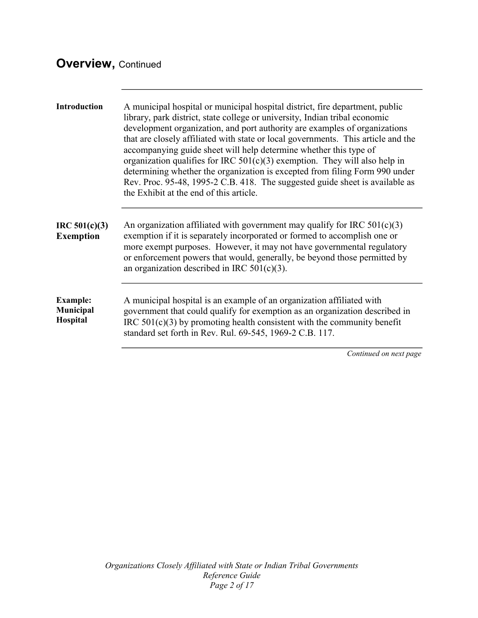# **Overview,** Continued

| Introduction                                    | A municipal hospital or municipal hospital district, fire department, public<br>library, park district, state college or university, Indian tribal economic<br>development organization, and port authority are examples of organizations<br>that are closely affiliated with state or local governments. This article and the<br>accompanying guide sheet will help determine whether this type of<br>organization qualifies for IRC $501(c)(3)$ exemption. They will also help in<br>determining whether the organization is excepted from filing Form 990 under<br>Rev. Proc. 95-48, 1995-2 C.B. 418. The suggested guide sheet is available as<br>the Exhibit at the end of this article. |
|-------------------------------------------------|-----------------------------------------------------------------------------------------------------------------------------------------------------------------------------------------------------------------------------------------------------------------------------------------------------------------------------------------------------------------------------------------------------------------------------------------------------------------------------------------------------------------------------------------------------------------------------------------------------------------------------------------------------------------------------------------------|
| IRC 501(c)(3)<br><b>Exemption</b>               | An organization affiliated with government may qualify for IRC $501(c)(3)$<br>exemption if it is separately incorporated or formed to accomplish one or<br>more exempt purposes. However, it may not have governmental regulatory<br>or enforcement powers that would, generally, be beyond those permitted by<br>an organization described in IRC $501(c)(3)$ .                                                                                                                                                                                                                                                                                                                              |
| <b>Example:</b><br><b>Municipal</b><br>Hospital | A municipal hospital is an example of an organization affiliated with<br>government that could qualify for exemption as an organization described in<br>IRC $501(c)(3)$ by promoting health consistent with the community benefit<br>standard set forth in Rev. Rul. 69-545, 1969-2 C.B. 117.                                                                                                                                                                                                                                                                                                                                                                                                 |
|                                                 | Continued on next page                                                                                                                                                                                                                                                                                                                                                                                                                                                                                                                                                                                                                                                                        |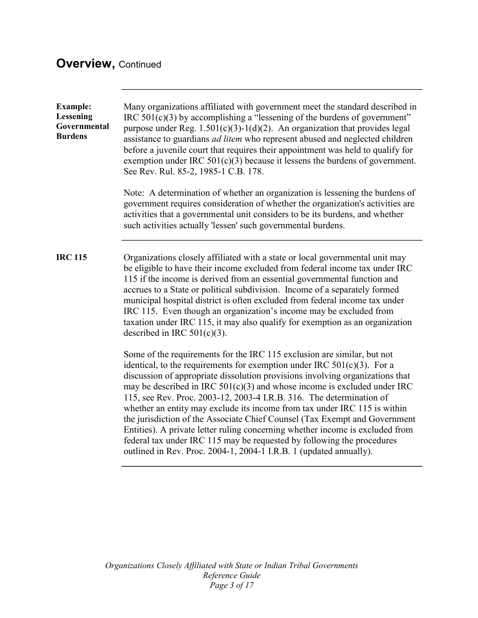# **Overview,** Continued

| <b>Example:</b><br>Lessening<br>Governmental<br><b>Burdens</b> | Many organizations affiliated with government meet the standard described in<br>IRC $501(c)(3)$ by accomplishing a "lessening of the burdens of government"<br>purpose under Reg. $1.501(c)(3)-1(d)(2)$ . An organization that provides legal<br>assistance to guardians <i>ad litem</i> who represent abused and neglected children<br>before a juvenile court that requires their appointment was held to qualify for<br>exemption under IRC $501(c)(3)$ because it lessens the burdens of government.<br>See Rev. Rul. 85-2, 1985-1 C.B. 178.                                                                                                                                                                                                                                         |
|----------------------------------------------------------------|------------------------------------------------------------------------------------------------------------------------------------------------------------------------------------------------------------------------------------------------------------------------------------------------------------------------------------------------------------------------------------------------------------------------------------------------------------------------------------------------------------------------------------------------------------------------------------------------------------------------------------------------------------------------------------------------------------------------------------------------------------------------------------------|
|                                                                | Note: A determination of whether an organization is lessening the burdens of<br>government requires consideration of whether the organization's activities are<br>activities that a governmental unit considers to be its burdens, and whether<br>such activities actually 'lessen' such governmental burdens.                                                                                                                                                                                                                                                                                                                                                                                                                                                                           |
| <b>IRC 115</b>                                                 | Organizations closely affiliated with a state or local governmental unit may<br>be eligible to have their income excluded from federal income tax under IRC<br>115 if the income is derived from an essential governmental function and<br>accrues to a State or political subdivision. Income of a separately formed<br>municipal hospital district is often excluded from federal income tax under<br>IRC 115. Even though an organization's income may be excluded from<br>taxation under IRC 115, it may also qualify for exemption as an organization<br>described in IRC $501(c)(3)$ .                                                                                                                                                                                             |
|                                                                | Some of the requirements for the IRC 115 exclusion are similar, but not<br>identical, to the requirements for exemption under IRC $501(c)(3)$ . For a<br>discussion of appropriate dissolution provisions involving organizations that<br>may be described in IRC $501(c)(3)$ and whose income is excluded under IRC<br>115, see Rev. Proc. 2003-12, 2003-4 I.R.B. 316. The determination of<br>whether an entity may exclude its income from tax under IRC 115 is within<br>the jurisdiction of the Associate Chief Counsel (Tax Exempt and Government<br>Entities). A private letter ruling concerning whether income is excluded from<br>federal tax under IRC 115 may be requested by following the procedures<br>outlined in Rev. Proc. 2004-1, 2004-1 I.R.B. 1 (updated annually). |
|                                                                |                                                                                                                                                                                                                                                                                                                                                                                                                                                                                                                                                                                                                                                                                                                                                                                          |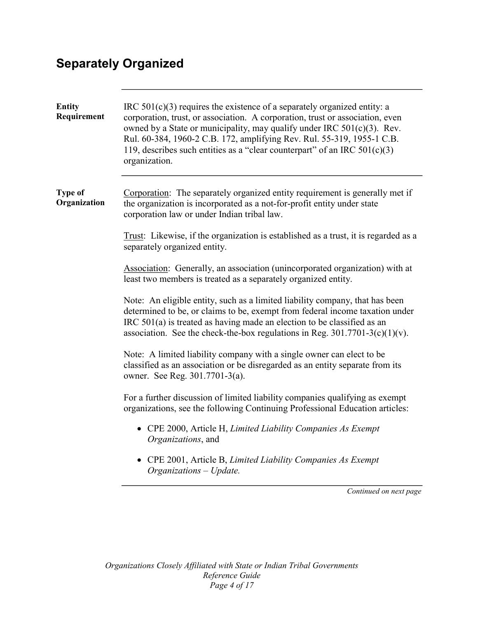# **Separately Organized**

| <b>Entity</b><br>Requirement   | IRC $501(c)(3)$ requires the existence of a separately organized entity: a<br>corporation, trust, or association. A corporation, trust or association, even<br>owned by a State or municipality, may qualify under IRC 501(c)(3). Rev.<br>Rul. 60-384, 1960-2 C.B. 172, amplifying Rev. Rul. 55-319, 1955-1 C.B.<br>119, describes such entities as a "clear counterpart" of an IRC $501(c)(3)$<br>organization. |
|--------------------------------|------------------------------------------------------------------------------------------------------------------------------------------------------------------------------------------------------------------------------------------------------------------------------------------------------------------------------------------------------------------------------------------------------------------|
| <b>Type of</b><br>Organization | Corporation: The separately organized entity requirement is generally met if<br>the organization is incorporated as a not-for-profit entity under state<br>corporation law or under Indian tribal law.                                                                                                                                                                                                           |
|                                | Trust: Likewise, if the organization is established as a trust, it is regarded as a<br>separately organized entity.                                                                                                                                                                                                                                                                                              |
|                                | Association: Generally, an association (unincorporated organization) with at<br>least two members is treated as a separately organized entity.                                                                                                                                                                                                                                                                   |
|                                | Note: An eligible entity, such as a limited liability company, that has been<br>determined to be, or claims to be, exempt from federal income taxation under<br>IRC 501(a) is treated as having made an election to be classified as an<br>association. See the check-the-box regulations in Reg. $301.7701-3(c)(1)(v)$ .                                                                                        |
|                                | Note: A limited liability company with a single owner can elect to be<br>classified as an association or be disregarded as an entity separate from its<br>owner. See Reg. 301.7701-3(a).                                                                                                                                                                                                                         |
|                                | For a further discussion of limited liability companies qualifying as exempt<br>organizations, see the following Continuing Professional Education articles:                                                                                                                                                                                                                                                     |
|                                | • CPE 2000, Article H, Limited Liability Companies As Exempt<br>Organizations, and                                                                                                                                                                                                                                                                                                                               |
|                                | CPE 2001, Article B, Limited Liability Companies As Exempt<br>Organizations - Update.                                                                                                                                                                                                                                                                                                                            |
|                                | Continued on next page                                                                                                                                                                                                                                                                                                                                                                                           |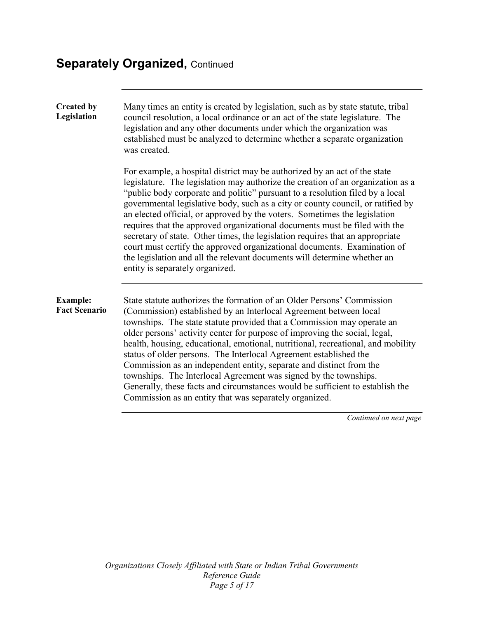# **Separately Organized, Continued**

| <b>Created by</b><br>Legislation        | Many times an entity is created by legislation, such as by state statute, tribal<br>council resolution, a local ordinance or an act of the state legislature. The<br>legislation and any other documents under which the organization was<br>established must be analyzed to determine whether a separate organization<br>was created.                                                                                                                                                                                                                                                                                                                                                                                                                                  |
|-----------------------------------------|-------------------------------------------------------------------------------------------------------------------------------------------------------------------------------------------------------------------------------------------------------------------------------------------------------------------------------------------------------------------------------------------------------------------------------------------------------------------------------------------------------------------------------------------------------------------------------------------------------------------------------------------------------------------------------------------------------------------------------------------------------------------------|
|                                         | For example, a hospital district may be authorized by an act of the state<br>legislature. The legislation may authorize the creation of an organization as a<br>"public body corporate and politic" pursuant to a resolution filed by a local<br>governmental legislative body, such as a city or county council, or ratified by<br>an elected official, or approved by the voters. Sometimes the legislation<br>requires that the approved organizational documents must be filed with the<br>secretary of state. Other times, the legislation requires that an appropriate<br>court must certify the approved organizational documents. Examination of<br>the legislation and all the relevant documents will determine whether an<br>entity is separately organized. |
| <b>Example:</b><br><b>Fact Scenario</b> | State statute authorizes the formation of an Older Persons' Commission<br>(Commission) established by an Interlocal Agreement between local<br>townships. The state statute provided that a Commission may operate an<br>older persons' activity center for purpose of improving the social, legal,<br>health, housing, educational, emotional, nutritional, recreational, and mobility<br>status of older persons. The Interlocal Agreement established the<br>Commission as an independent entity, separate and distinct from the<br>townships. The Interlocal Agreement was signed by the townships.<br>Generally, these facts and circumstances would be sufficient to establish the<br>Commission as an entity that was separately organized.                      |
|                                         | Continued on next pag                                                                                                                                                                                                                                                                                                                                                                                                                                                                                                                                                                                                                                                                                                                                                   |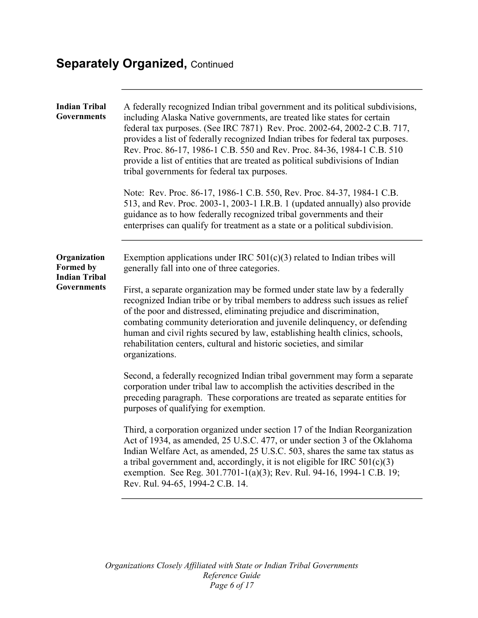# **Separately Organized, Continued**

| <b>Indian Tribal</b><br>Governments                                            | A federally recognized Indian tribal government and its political subdivisions,<br>including Alaska Native governments, are treated like states for certain<br>federal tax purposes. (See IRC 7871) Rev. Proc. 2002-64, 2002-2 C.B. 717,<br>provides a list of federally recognized Indian tribes for federal tax purposes.<br>Rev. Proc. 86-17, 1986-1 C.B. 550 and Rev. Proc. 84-36, 1984-1 C.B. 510<br>provide a list of entities that are treated as political subdivisions of Indian<br>tribal governments for federal tax purposes.<br>Note: Rev. Proc. 86-17, 1986-1 C.B. 550, Rev. Proc. 84-37, 1984-1 C.B.<br>513, and Rev. Proc. 2003-1, 2003-1 I.R.B. 1 (updated annually) also provide<br>guidance as to how federally recognized tribal governments and their<br>enterprises can qualify for treatment as a state or a political subdivision. |
|--------------------------------------------------------------------------------|------------------------------------------------------------------------------------------------------------------------------------------------------------------------------------------------------------------------------------------------------------------------------------------------------------------------------------------------------------------------------------------------------------------------------------------------------------------------------------------------------------------------------------------------------------------------------------------------------------------------------------------------------------------------------------------------------------------------------------------------------------------------------------------------------------------------------------------------------------|
| Organization<br><b>Formed by</b><br><b>Indian Tribal</b><br><b>Governments</b> | Exemption applications under IRC $501(c)(3)$ related to Indian tribes will<br>generally fall into one of three categories.<br>First, a separate organization may be formed under state law by a federally<br>recognized Indian tribe or by tribal members to address such issues as relief<br>of the poor and distressed, eliminating prejudice and discrimination,<br>combating community deterioration and juvenile delinquency, or defending<br>human and civil rights secured by law, establishing health clinics, schools,<br>rehabilitation centers, cultural and historic societies, and similar<br>organizations.                                                                                                                                                                                                                                  |
|                                                                                | Second, a federally recognized Indian tribal government may form a separate<br>corporation under tribal law to accomplish the activities described in the<br>preceding paragraph. These corporations are treated as separate entities for<br>purposes of qualifying for exemption.                                                                                                                                                                                                                                                                                                                                                                                                                                                                                                                                                                         |
|                                                                                | Third, a corporation organized under section 17 of the Indian Reorganization<br>Act of 1934, as amended, 25 U.S.C. 477, or under section 3 of the Oklahoma<br>Indian Welfare Act, as amended, 25 U.S.C. 503, shares the same tax status as<br>a tribal government and, accordingly, it is not eligible for IRC $501(c)(3)$<br>exemption. See Reg. 301.7701-1(a)(3); Rev. Rul. 94-16, 1994-1 C.B. 19;<br>Rev. Rul. 94-65, 1994-2 C.B. 14.                                                                                                                                                                                                                                                                                                                                                                                                                   |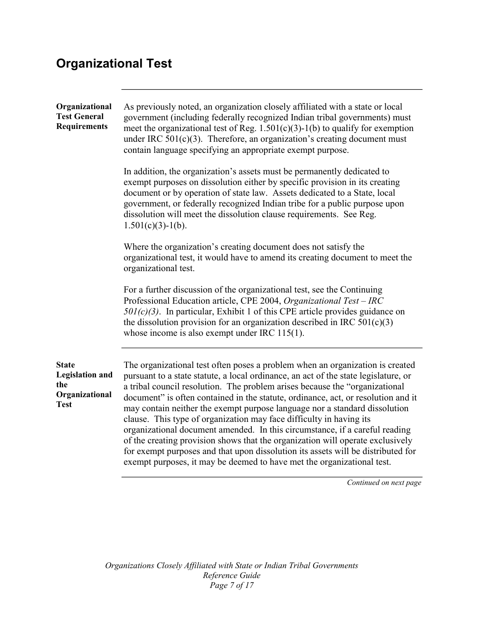# **Organizational Test**

| Organizational<br><b>Test General</b><br><b>Requirements</b>                   | As previously noted, an organization closely affiliated with a state or local<br>government (including federally recognized Indian tribal governments) must<br>meet the organizational test of Reg. $1.501(c)(3)-1(b)$ to qualify for exemption<br>under IRC $501(c)(3)$ . Therefore, an organization's creating document must<br>contain language specifying an appropriate exempt purpose.                                                                                                                                                                                                                                                                                                                                                                                                                                  |
|--------------------------------------------------------------------------------|-------------------------------------------------------------------------------------------------------------------------------------------------------------------------------------------------------------------------------------------------------------------------------------------------------------------------------------------------------------------------------------------------------------------------------------------------------------------------------------------------------------------------------------------------------------------------------------------------------------------------------------------------------------------------------------------------------------------------------------------------------------------------------------------------------------------------------|
|                                                                                | In addition, the organization's assets must be permanently dedicated to<br>exempt purposes on dissolution either by specific provision in its creating<br>document or by operation of state law. Assets dedicated to a State, local<br>government, or federally recognized Indian tribe for a public purpose upon<br>dissolution will meet the dissolution clause requirements. See Reg.<br>$1.501(c)(3)-1(b)$ .                                                                                                                                                                                                                                                                                                                                                                                                              |
|                                                                                | Where the organization's creating document does not satisfy the<br>organizational test, it would have to amend its creating document to meet the<br>organizational test.                                                                                                                                                                                                                                                                                                                                                                                                                                                                                                                                                                                                                                                      |
|                                                                                | For a further discussion of the organizational test, see the Continuing<br>Professional Education article, CPE 2004, Organizational Test - IRC<br>$501(c)(3)$ . In particular, Exhibit 1 of this CPE article provides guidance on<br>the dissolution provision for an organization described in IRC $501(c)(3)$<br>whose income is also exempt under IRC $115(1)$ .                                                                                                                                                                                                                                                                                                                                                                                                                                                           |
| <b>State</b><br><b>Legislation and</b><br>the<br>Organizational<br><b>Test</b> | The organizational test often poses a problem when an organization is created<br>pursuant to a state statute, a local ordinance, an act of the state legislature, or<br>a tribal council resolution. The problem arises because the "organizational"<br>document" is often contained in the statute, ordinance, act, or resolution and it<br>may contain neither the exempt purpose language nor a standard dissolution<br>clause. This type of organization may face difficulty in having its<br>organizational document amended. In this circumstance, if a careful reading<br>of the creating provision shows that the organization will operate exclusively<br>for exempt purposes and that upon dissolution its assets will be distributed for<br>exempt purposes, it may be deemed to have met the organizational test. |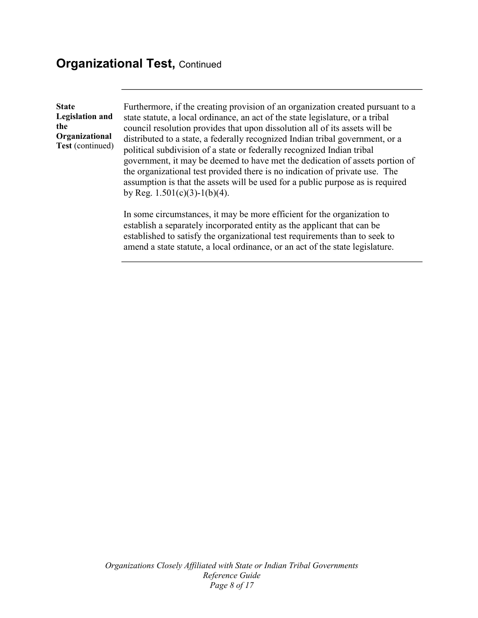### **Organizational Test, Continued**

**State Legislation and the Organizational Test** (continued) Furthermore, if the creating provision of an organization created pursuant to a state statute, a local ordinance, an act of the state legislature, or a tribal council resolution provides that upon dissolution all of its assets will be distributed to a state, a federally recognized Indian tribal government, or a political subdivision of a state or federally recognized Indian tribal government, it may be deemed to have met the dedication of assets portion of the organizational test provided there is no indication of private use. The assumption is that the assets will be used for a public purpose as is required by Reg.  $1.501(c)(3)-1(b)(4)$ .

In some circumstances, it may be more efficient for the organization to establish a separately incorporated entity as the applicant that can be established to satisfy the organizational test requirements than to seek to amend a state statute, a local ordinance, or an act of the state legislature.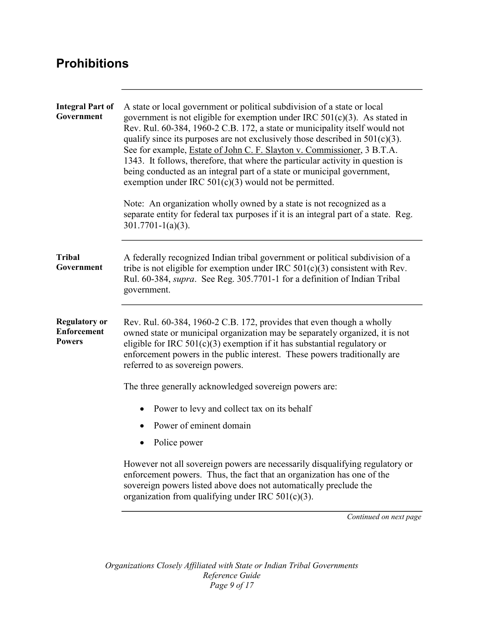## **Prohibitions**

| <b>Integral Part of</b><br>Government                       | A state or local government or political subdivision of a state or local<br>government is not eligible for exemption under IRC $501(c)(3)$ . As stated in<br>Rev. Rul. 60-384, 1960-2 C.B. 172, a state or municipality itself would not<br>qualify since its purposes are not exclusively those described in $501(c)(3)$ .<br>See for example, <i>Estate of John C. F. Slayton v. Commissioner</i> , 3 B.T.A.<br>1343. It follows, therefore, that where the particular activity in question is<br>being conducted as an integral part of a state or municipal government,<br>exemption under IRC $501(c)(3)$ would not be permitted. |
|-------------------------------------------------------------|----------------------------------------------------------------------------------------------------------------------------------------------------------------------------------------------------------------------------------------------------------------------------------------------------------------------------------------------------------------------------------------------------------------------------------------------------------------------------------------------------------------------------------------------------------------------------------------------------------------------------------------|
|                                                             | Note: An organization wholly owned by a state is not recognized as a<br>separate entity for federal tax purposes if it is an integral part of a state. Reg.<br>$301.7701 - 1(a)(3)$ .                                                                                                                                                                                                                                                                                                                                                                                                                                                  |
| <b>Tribal</b><br>Government                                 | A federally recognized Indian tribal government or political subdivision of a<br>tribe is not eligible for exemption under IRC $501(c)(3)$ consistent with Rev.<br>Rul. 60-384, supra. See Reg. 305.7701-1 for a definition of Indian Tribal<br>government.                                                                                                                                                                                                                                                                                                                                                                            |
| <b>Regulatory or</b><br><b>Enforcement</b><br><b>Powers</b> | Rev. Rul. 60-384, 1960-2 C.B. 172, provides that even though a wholly<br>owned state or municipal organization may be separately organized, it is not<br>eligible for IRC $501(c)(3)$ exemption if it has substantial regulatory or<br>enforcement powers in the public interest. These powers traditionally are<br>referred to as sovereign powers.                                                                                                                                                                                                                                                                                   |
|                                                             | The three generally acknowledged sovereign powers are:                                                                                                                                                                                                                                                                                                                                                                                                                                                                                                                                                                                 |
|                                                             | Power to levy and collect tax on its behalf                                                                                                                                                                                                                                                                                                                                                                                                                                                                                                                                                                                            |
|                                                             | Power of eminent domain                                                                                                                                                                                                                                                                                                                                                                                                                                                                                                                                                                                                                |
|                                                             | Police power                                                                                                                                                                                                                                                                                                                                                                                                                                                                                                                                                                                                                           |
|                                                             | However not all sovereign powers are necessarily disqualifying regulatory or<br>enforcement powers. Thus, the fact that an organization has one of the<br>sovereign powers listed above does not automatically preclude the<br>organization from qualifying under IRC $501(c)(3)$ .                                                                                                                                                                                                                                                                                                                                                    |
|                                                             | Continued on next page                                                                                                                                                                                                                                                                                                                                                                                                                                                                                                                                                                                                                 |
|                                                             |                                                                                                                                                                                                                                                                                                                                                                                                                                                                                                                                                                                                                                        |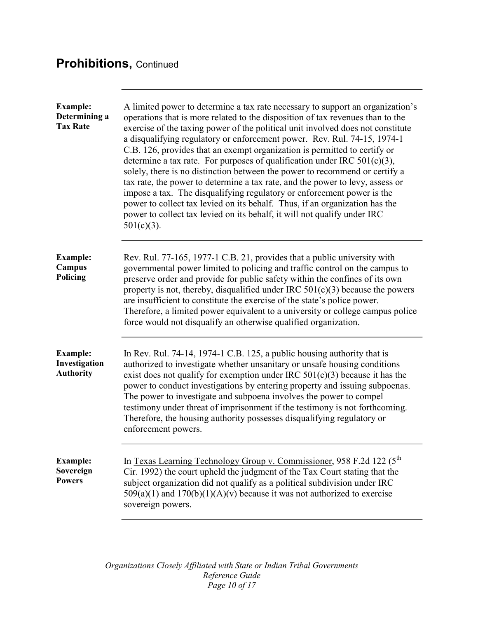## **Prohibitions,** Continued

| <b>Example:</b><br>Determining a<br><b>Tax Rate</b>  | A limited power to determine a tax rate necessary to support an organization's<br>operations that is more related to the disposition of tax revenues than to the<br>exercise of the taxing power of the political unit involved does not constitute<br>a disqualifying regulatory or enforcement power. Rev. Rul. 74-15, 1974-1<br>C.B. 126, provides that an exempt organization is permitted to certify or<br>determine a tax rate. For purposes of qualification under IRC $501(c)(3)$ ,<br>solely, there is no distinction between the power to recommend or certify a<br>tax rate, the power to determine a tax rate, and the power to levy, assess or<br>impose a tax. The disqualifying regulatory or enforcement power is the<br>power to collect tax levied on its behalf. Thus, if an organization has the<br>power to collect tax levied on its behalf, it will not qualify under IRC<br>$501(c)(3)$ . |
|------------------------------------------------------|-------------------------------------------------------------------------------------------------------------------------------------------------------------------------------------------------------------------------------------------------------------------------------------------------------------------------------------------------------------------------------------------------------------------------------------------------------------------------------------------------------------------------------------------------------------------------------------------------------------------------------------------------------------------------------------------------------------------------------------------------------------------------------------------------------------------------------------------------------------------------------------------------------------------|
| <b>Example:</b><br>Campus<br>Policing                | Rev. Rul. 77-165, 1977-1 C.B. 21, provides that a public university with<br>governmental power limited to policing and traffic control on the campus to<br>preserve order and provide for public safety within the confines of its own<br>property is not, thereby, disqualified under IRC $501(c)(3)$ because the powers<br>are insufficient to constitute the exercise of the state's police power.<br>Therefore, a limited power equivalent to a university or college campus police<br>force would not disqualify an otherwise qualified organization.                                                                                                                                                                                                                                                                                                                                                        |
| <b>Example:</b><br>Investigation<br><b>Authority</b> | In Rev. Rul. 74-14, 1974-1 C.B. 125, a public housing authority that is<br>authorized to investigate whether unsanitary or unsafe housing conditions<br>exist does not qualify for exemption under IRC $501(c)(3)$ because it has the<br>power to conduct investigations by entering property and issuing subpoenas.<br>The power to investigate and subpoena involves the power to compel<br>testimony under threat of imprisonment if the testimony is not forthcoming.<br>Therefore, the housing authority possesses disqualifying regulatory or<br>enforcement powers.                                                                                                                                                                                                                                                                                                                                        |
| <b>Example:</b><br>Sovereign<br><b>Powers</b>        | In Texas Learning Technology Group v. Commissioner, 958 F.2d 122 (5 <sup>th</sup> )<br>Cir. 1992) the court upheld the judgment of the Tax Court stating that the<br>subject organization did not qualify as a political subdivision under IRC<br>$509(a)(1)$ and $170(b)(1)(A)(v)$ because it was not authorized to exercise<br>sovereign powers.                                                                                                                                                                                                                                                                                                                                                                                                                                                                                                                                                                |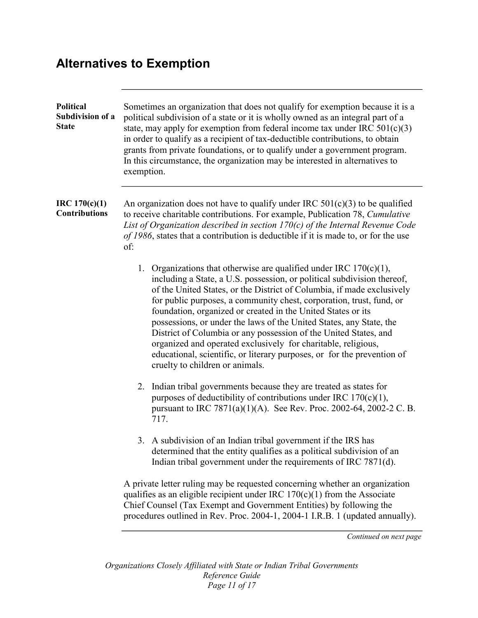## **Alternatives to Exemption**

| $\text{IRC } 170(c)(1)$<br>An organization does not have to qualify under IRC $501(c)(3)$ to be qualified<br><b>Contributions</b><br>to receive charitable contributions. For example, Publication 78, Cumulative<br>List of Organization described in section $170(c)$ of the Internal Revenue Code<br>of 1986, states that a contribution is deductible if it is made to, or for the use<br>of:<br>1. Organizations that otherwise are qualified under IRC $170(c)(1)$ ,<br>including a State, a U.S. possession, or political subdivision thereof,<br>of the United States, or the District of Columbia, if made exclusively<br>for public purposes, a community chest, corporation, trust, fund, or<br>foundation, organized or created in the United States or its<br>possessions, or under the laws of the United States, any State, the<br>District of Columbia or any possession of the United States, and<br>organized and operated exclusively for charitable, religious,<br>educational, scientific, or literary purposes, or for the prevention of<br>cruelty to children or animals.<br>2. Indian tribal governments because they are treated as states for<br>purposes of deductibility of contributions under IRC $170(c)(1)$ ,<br>pursuant to IRC 7871(a)(1)(A). See Rev. Proc. 2002-64, 2002-2 C. B.<br>717.<br>3. A subdivision of an Indian tribal government if the IRS has<br>determined that the entity qualifies as a political subdivision of an<br>Indian tribal government under the requirements of IRC 7871(d).<br>A private letter ruling may be requested concerning whether an organization<br>qualifies as an eligible recipient under IRC $170(c)(1)$ from the Associate<br>Chief Counsel (Tax Exempt and Government Entities) by following the | <b>Political</b><br>Subdivision of a<br><b>State</b> | Sometimes an organization that does not qualify for exemption because it is a<br>political subdivision of a state or it is wholly owned as an integral part of a<br>state, may apply for exemption from federal income tax under IRC $501(c)(3)$<br>in order to qualify as a recipient of tax-deductible contributions, to obtain<br>grants from private foundations, or to qualify under a government program.<br>In this circumstance, the organization may be interested in alternatives to<br>exemption. |
|----------------------------------------------------------------------------------------------------------------------------------------------------------------------------------------------------------------------------------------------------------------------------------------------------------------------------------------------------------------------------------------------------------------------------------------------------------------------------------------------------------------------------------------------------------------------------------------------------------------------------------------------------------------------------------------------------------------------------------------------------------------------------------------------------------------------------------------------------------------------------------------------------------------------------------------------------------------------------------------------------------------------------------------------------------------------------------------------------------------------------------------------------------------------------------------------------------------------------------------------------------------------------------------------------------------------------------------------------------------------------------------------------------------------------------------------------------------------------------------------------------------------------------------------------------------------------------------------------------------------------------------------------------------------------------------------------------------------------------------------------------------------------------|------------------------------------------------------|--------------------------------------------------------------------------------------------------------------------------------------------------------------------------------------------------------------------------------------------------------------------------------------------------------------------------------------------------------------------------------------------------------------------------------------------------------------------------------------------------------------|
|                                                                                                                                                                                                                                                                                                                                                                                                                                                                                                                                                                                                                                                                                                                                                                                                                                                                                                                                                                                                                                                                                                                                                                                                                                                                                                                                                                                                                                                                                                                                                                                                                                                                                                                                                                                  |                                                      |                                                                                                                                                                                                                                                                                                                                                                                                                                                                                                              |
|                                                                                                                                                                                                                                                                                                                                                                                                                                                                                                                                                                                                                                                                                                                                                                                                                                                                                                                                                                                                                                                                                                                                                                                                                                                                                                                                                                                                                                                                                                                                                                                                                                                                                                                                                                                  |                                                      |                                                                                                                                                                                                                                                                                                                                                                                                                                                                                                              |
|                                                                                                                                                                                                                                                                                                                                                                                                                                                                                                                                                                                                                                                                                                                                                                                                                                                                                                                                                                                                                                                                                                                                                                                                                                                                                                                                                                                                                                                                                                                                                                                                                                                                                                                                                                                  |                                                      |                                                                                                                                                                                                                                                                                                                                                                                                                                                                                                              |
|                                                                                                                                                                                                                                                                                                                                                                                                                                                                                                                                                                                                                                                                                                                                                                                                                                                                                                                                                                                                                                                                                                                                                                                                                                                                                                                                                                                                                                                                                                                                                                                                                                                                                                                                                                                  |                                                      |                                                                                                                                                                                                                                                                                                                                                                                                                                                                                                              |
| Continued on next page                                                                                                                                                                                                                                                                                                                                                                                                                                                                                                                                                                                                                                                                                                                                                                                                                                                                                                                                                                                                                                                                                                                                                                                                                                                                                                                                                                                                                                                                                                                                                                                                                                                                                                                                                           |                                                      | procedures outlined in Rev. Proc. 2004-1, 2004-1 I.R.B. 1 (updated annually).                                                                                                                                                                                                                                                                                                                                                                                                                                |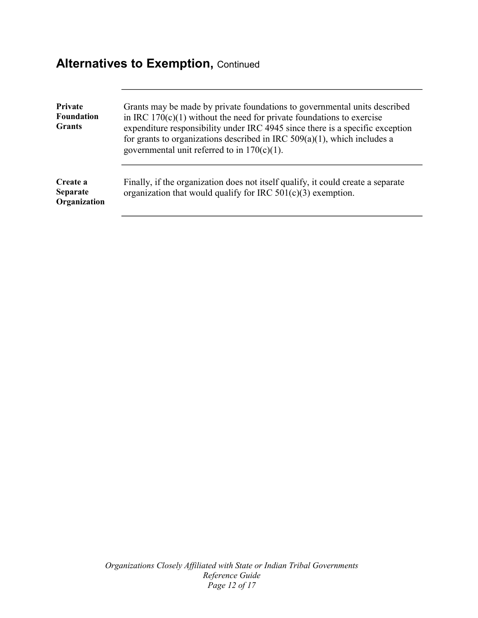## **Alternatives to Exemption, Continued**

| Private<br><b>Foundation</b><br><b>Grants</b> | Grants may be made by private foundations to governmental units described<br>in IRC $170(c)(1)$ without the need for private foundations to exercise<br>expenditure responsibility under IRC 4945 since there is a specific exception<br>for grants to organizations described in IRC $509(a)(1)$ , which includes a<br>governmental unit referred to in $170(c)(1)$ . |
|-----------------------------------------------|------------------------------------------------------------------------------------------------------------------------------------------------------------------------------------------------------------------------------------------------------------------------------------------------------------------------------------------------------------------------|
| Create a<br><b>Separate</b><br>Organization   | Finally, if the organization does not itself qualify, it could create a separate<br>organization that would qualify for IRC $501(c)(3)$ exemption.                                                                                                                                                                                                                     |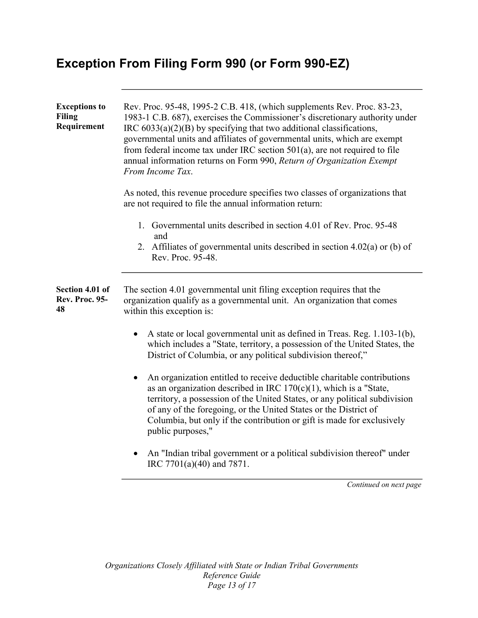## **Exception From Filing Form 990 (or Form 990-EZ)**

| <b>Exceptions to</b><br><b>Filing</b><br>Requirement | Rev. Proc. 95-48, 1995-2 C.B. 418, (which supplements Rev. Proc. 83-23,<br>1983-1 C.B. 687), exercises the Commissioner's discretionary authority under<br>IRC $6033(a)(2)(B)$ by specifying that two additional classifications,<br>governmental units and affiliates of governmental units, which are exempt<br>from federal income tax under IRC section $501(a)$ , are not required to file<br>annual information returns on Form 990, Return of Organization Exempt<br>From Income Tax. |
|------------------------------------------------------|----------------------------------------------------------------------------------------------------------------------------------------------------------------------------------------------------------------------------------------------------------------------------------------------------------------------------------------------------------------------------------------------------------------------------------------------------------------------------------------------|
|                                                      | As noted, this revenue procedure specifies two classes of organizations that<br>are not required to file the annual information return:                                                                                                                                                                                                                                                                                                                                                      |
|                                                      | 1. Governmental units described in section 4.01 of Rev. Proc. 95-48<br>and                                                                                                                                                                                                                                                                                                                                                                                                                   |
|                                                      | 2. Affiliates of governmental units described in section $4.02(a)$ or (b) of<br>Rev. Proc. 95-48.                                                                                                                                                                                                                                                                                                                                                                                            |
| Section 4.01 of<br><b>Rev. Proc. 95-</b><br>48       | The section 4.01 governmental unit filing exception requires that the<br>organization qualify as a governmental unit. An organization that comes<br>within this exception is:                                                                                                                                                                                                                                                                                                                |
|                                                      | A state or local governmental unit as defined in Treas. Reg. 1.103-1(b),<br>which includes a "State, territory, a possession of the United States, the<br>District of Columbia, or any political subdivision thereof,"                                                                                                                                                                                                                                                                       |
|                                                      | An organization entitled to receive deductible charitable contributions<br>$\bullet$<br>as an organization described in IRC $170(c)(1)$ , which is a "State,<br>territory, a possession of the United States, or any political subdivision<br>of any of the foregoing, or the United States or the District of<br>Columbia, but only if the contribution or gift is made for exclusively<br>public purposes,"                                                                                |
|                                                      | An "Indian tribal government or a political subdivision thereof" under<br>IRC 7701(a)(40) and 7871.                                                                                                                                                                                                                                                                                                                                                                                          |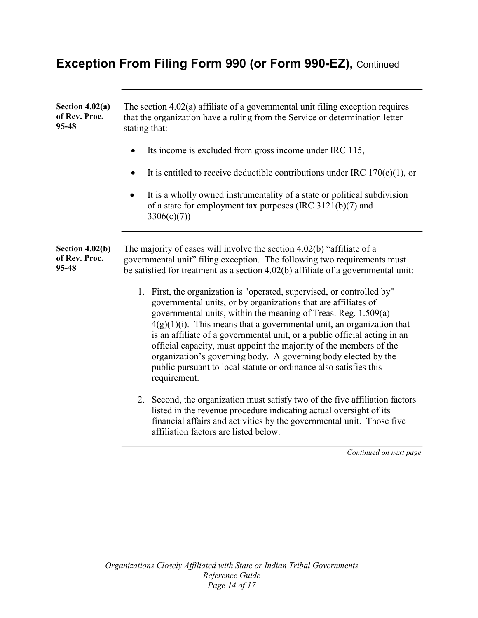## **Exception From Filing Form 990 (or Form 990-EZ),** Continued

| Section $4.02(a)$<br>of Rev. Proc.<br>95-48 | The section $4.02(a)$ affiliate of a governmental unit filing exception requires<br>that the organization have a ruling from the Service or determination letter<br>stating that:                                                                                                                                                                                                                                                                                                                                                                                                                 |
|---------------------------------------------|---------------------------------------------------------------------------------------------------------------------------------------------------------------------------------------------------------------------------------------------------------------------------------------------------------------------------------------------------------------------------------------------------------------------------------------------------------------------------------------------------------------------------------------------------------------------------------------------------|
|                                             | Its income is excluded from gross income under IRC 115,                                                                                                                                                                                                                                                                                                                                                                                                                                                                                                                                           |
|                                             | It is entitled to receive deductible contributions under IRC $170(c)(1)$ , or                                                                                                                                                                                                                                                                                                                                                                                                                                                                                                                     |
|                                             | It is a wholly owned instrumentality of a state or political subdivision<br>of a state for employment tax purposes (IRC $3121(b)(7)$ and<br>3306(c)(7)                                                                                                                                                                                                                                                                                                                                                                                                                                            |
| Section 4.02(b)<br>of Rev. Proc.<br>95-48   | The majority of cases will involve the section 4.02(b) "affiliate of a<br>governmental unit" filing exception. The following two requirements must<br>be satisfied for treatment as a section 4.02(b) affiliate of a governmental unit:                                                                                                                                                                                                                                                                                                                                                           |
|                                             | 1. First, the organization is "operated, supervised, or controlled by"<br>governmental units, or by organizations that are affiliates of<br>governmental units, within the meaning of Treas. Reg. 1.509(a)-<br>$4(g)(1)(i)$ . This means that a governmental unit, an organization that<br>is an affiliate of a governmental unit, or a public official acting in an<br>official capacity, must appoint the majority of the members of the<br>organization's governing body. A governing body elected by the<br>public pursuant to local statute or ordinance also satisfies this<br>requirement. |
|                                             | 2. Second, the organization must satisfy two of the five affiliation factors<br>listed in the revenue procedure indicating actual oversight of its<br>financial affairs and activities by the governmental unit. Those five<br>affiliation factors are listed below.                                                                                                                                                                                                                                                                                                                              |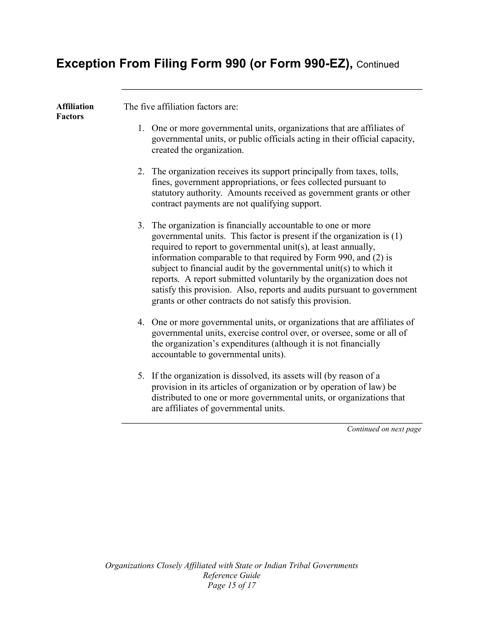## **Exception From Filing Form 990 (or Form 990-EZ),** Continued

| <b>Affiliation</b><br><b>Factors</b> | The five affiliation factors are:                                                                                                                                                                                                                                                                                                                                                                                                                                                                                                                                |
|--------------------------------------|------------------------------------------------------------------------------------------------------------------------------------------------------------------------------------------------------------------------------------------------------------------------------------------------------------------------------------------------------------------------------------------------------------------------------------------------------------------------------------------------------------------------------------------------------------------|
|                                      | 1. One or more governmental units, organizations that are affiliates of<br>governmental units, or public officials acting in their official capacity,<br>created the organization.                                                                                                                                                                                                                                                                                                                                                                               |
|                                      | 2. The organization receives its support principally from taxes, tolls,<br>fines, government appropriations, or fees collected pursuant to<br>statutory authority. Amounts received as government grants or other<br>contract payments are not qualifying support.                                                                                                                                                                                                                                                                                               |
|                                      | 3. The organization is financially accountable to one or more<br>governmental units. This factor is present if the organization is (1)<br>required to report to governmental unit(s), at least annually,<br>information comparable to that required by Form 990, and (2) is<br>subject to financial audit by the governmental unit(s) to which it<br>reports. A report submitted voluntarily by the organization does not<br>satisfy this provision. Also, reports and audits pursuant to government<br>grants or other contracts do not satisfy this provision. |
|                                      | 4. One or more governmental units, or organizations that are affiliates of<br>governmental units, exercise control over, or oversee, some or all of<br>the organization's expenditures (although it is not financially<br>accountable to governmental units).                                                                                                                                                                                                                                                                                                    |
|                                      | 5. If the organization is dissolved, its assets will (by reason of a<br>provision in its articles of organization or by operation of law) be<br>distributed to one or more governmental units, or organizations that<br>are affiliates of governmental units.                                                                                                                                                                                                                                                                                                    |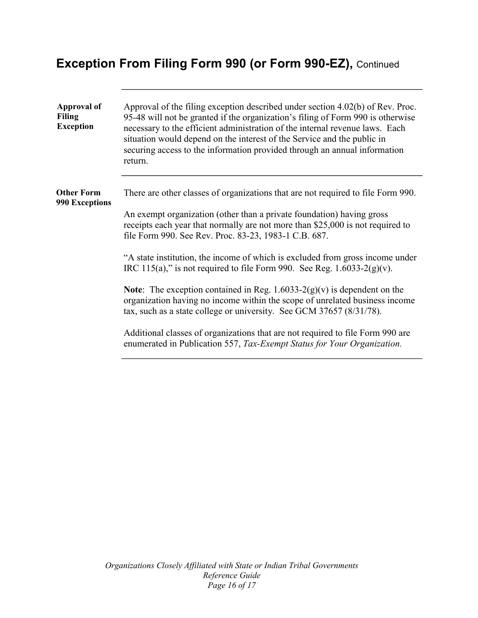## **Exception From Filing Form 990 (or Form 990-EZ),** Continued

| Approval of<br><b>Filing</b><br><b>Exception</b> | Approval of the filing exception described under section 4.02(b) of Rev. Proc.<br>95-48 will not be granted if the organization's filing of Form 990 is otherwise<br>necessary to the efficient administration of the internal revenue laws. Each<br>situation would depend on the interest of the Service and the public in<br>securing access to the information provided through an annual information<br>return. |
|--------------------------------------------------|----------------------------------------------------------------------------------------------------------------------------------------------------------------------------------------------------------------------------------------------------------------------------------------------------------------------------------------------------------------------------------------------------------------------|
| <b>Other Form</b><br><b>990 Exceptions</b>       | There are other classes of organizations that are not required to file Form 990.<br>An exempt organization (other than a private foundation) having gross<br>receipts each year that normally are not more than \$25,000 is not required to<br>file Form 990. See Rev. Proc. 83-23, 1983-1 C.B. 687.                                                                                                                 |
|                                                  | "A state institution, the income of which is excluded from gross income under<br>IRC 115(a)," is not required to file Form 990. See Reg. $1.6033-2(g)(v)$ .                                                                                                                                                                                                                                                          |
|                                                  | <b>Note:</b> The exception contained in Reg. $1.6033-2(g)(v)$ is dependent on the<br>organization having no income within the scope of unrelated business income<br>tax, such as a state college or university. See GCM 37657 (8/31/78).                                                                                                                                                                             |
|                                                  | Additional classes of organizations that are not required to file Form 990 are<br>enumerated in Publication 557, Tax-Exempt Status for Your Organization.                                                                                                                                                                                                                                                            |